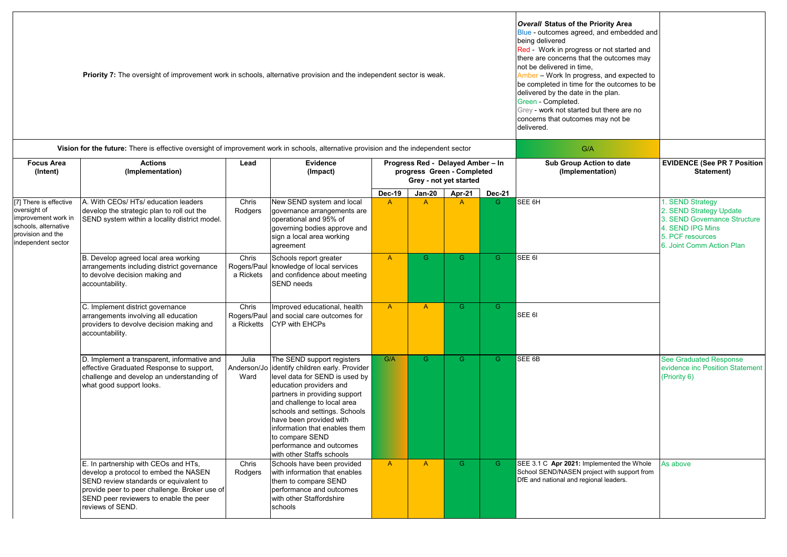|                                                                                                                                             | <b>Priority 7:</b> The oversight of improvement work in schools, alternative provision and the independent sector is weak.                                                                                                             | Overall Status of the Priority Area<br>Blue - outcomes agreed, and embedded and<br>being delivered<br>Red - Work in progress or not started and<br>there are concerns that the outcomes may<br>not be delivered in time.<br>Amber - Work In progress, and expected to<br>be completed in time for the outcomes to be<br>delivered by the date in the plan.<br>Green - Completed.<br>Grey - work not started but there are no<br>concerns that outcomes may not be<br>delivered. |                                                                                                                                                                                                                                                                                                                                                                       |                                                                                           |               |                |               |                                                                                                                                    |                                                                                                                                                  |  |  |
|---------------------------------------------------------------------------------------------------------------------------------------------|----------------------------------------------------------------------------------------------------------------------------------------------------------------------------------------------------------------------------------------|---------------------------------------------------------------------------------------------------------------------------------------------------------------------------------------------------------------------------------------------------------------------------------------------------------------------------------------------------------------------------------------------------------------------------------------------------------------------------------|-----------------------------------------------------------------------------------------------------------------------------------------------------------------------------------------------------------------------------------------------------------------------------------------------------------------------------------------------------------------------|-------------------------------------------------------------------------------------------|---------------|----------------|---------------|------------------------------------------------------------------------------------------------------------------------------------|--------------------------------------------------------------------------------------------------------------------------------------------------|--|--|
| Vision for the future: There is effective oversight of improvement work in schools, alternative provision and the independent sector<br>G/A |                                                                                                                                                                                                                                        |                                                                                                                                                                                                                                                                                                                                                                                                                                                                                 |                                                                                                                                                                                                                                                                                                                                                                       |                                                                                           |               |                |               |                                                                                                                                    |                                                                                                                                                  |  |  |
| <b>Focus Area</b><br>(Intent)                                                                                                               | <b>Actions</b><br>(Implementation)                                                                                                                                                                                                     | Lead                                                                                                                                                                                                                                                                                                                                                                                                                                                                            | Evidence<br>(Impact)                                                                                                                                                                                                                                                                                                                                                  | Progress Red - Delayed Amber - In<br>progress Green - Completed<br>Grey - not yet started |               |                |               | Sub Group Action to date<br>(Implementation)                                                                                       | <b>EVIDENCE (See PR 7 Position</b><br>Statement)                                                                                                 |  |  |
|                                                                                                                                             |                                                                                                                                                                                                                                        |                                                                                                                                                                                                                                                                                                                                                                                                                                                                                 |                                                                                                                                                                                                                                                                                                                                                                       | <b>Dec-19</b>                                                                             | <b>Jan-20</b> | Apr-21         | <b>Dec-21</b> |                                                                                                                                    |                                                                                                                                                  |  |  |
| [7] There is effective<br>oversight of<br>improvement work in<br>schools, alternative<br>provision and the<br>independent sector            | A. With CEOs/ HTs/ education leaders<br>develop the strategic plan to roll out the<br>SEND system within a locality district model.                                                                                                    | Chris<br>Rodgers                                                                                                                                                                                                                                                                                                                                                                                                                                                                | New SEND system and local<br>governance arrangements are<br>operational and 95% of<br>governing bodies approve and<br>sign a local area working<br>agreement                                                                                                                                                                                                          | $\mathsf{A}$                                                                              | $\mathsf{A}$  | $\mathsf{A}$   | G.            | SEE 6H                                                                                                                             | 1. SEND Strategy<br>2. SEND Strategy Update<br>3. SEND Governance Structure<br>4. SEND IPG Mins<br>5. PCF resources<br>6. Joint Comm Action Plan |  |  |
|                                                                                                                                             | B. Develop agreed local area working<br>arrangements including district governance<br>to devolve decision making and<br>accountability.                                                                                                | Chris<br>Rogers/Paul<br>a Rickets                                                                                                                                                                                                                                                                                                                                                                                                                                               | Schools report greater<br>knowledge of local services<br>and confidence about meeting<br>SEND needs                                                                                                                                                                                                                                                                   | $\mathsf{A}$                                                                              | G.            | G              | G.            | SEE 6I                                                                                                                             |                                                                                                                                                  |  |  |
|                                                                                                                                             | C. Implement district governance<br>arrangements involving all education<br>providers to devolve decision making and<br>accountability.                                                                                                | Chris<br>Rogers/Paul<br>a Ricketts                                                                                                                                                                                                                                                                                                                                                                                                                                              | Improved educational, health<br>and social care outcomes for<br>CYP with EHCPs                                                                                                                                                                                                                                                                                        | $\mathsf{A}$                                                                              | $\mathsf{A}$  | G              | G.            | SEE 6I                                                                                                                             |                                                                                                                                                  |  |  |
|                                                                                                                                             | D. Implement a transparent, informative and<br>effective Graduated Response to support,<br>challenge and develop an understanding of<br>what good support looks.                                                                       | Julia<br>Anderson/Jo<br>Ward                                                                                                                                                                                                                                                                                                                                                                                                                                                    | The SEND support registers<br>identify children early. Provider<br>level data for SEND is used by<br>education providers and<br>partners in providing support<br>and challenge to local area<br>schools and settings. Schools<br>have been provided with<br>information that enables them<br>to compare SEND<br>performance and outcomes<br>with other Staffs schools | G/A                                                                                       | G.            | $\overline{G}$ | G.            | SEE 6B                                                                                                                             | <b>See Graduated Response</b><br>evidence inc Position Statement<br>(Priority 6)                                                                 |  |  |
|                                                                                                                                             | E. In partnership with CEOs and HTs,<br>develop a protocol to embed the NASEN<br>SEND review standards or equivalent to<br>provide peer to peer challenge. Broker use of<br>SEND peer reviewers to enable the peer<br>reviews of SEND. | Chris<br>Rodgers                                                                                                                                                                                                                                                                                                                                                                                                                                                                | Schools have been provided<br>with information that enables<br>them to compare SEND<br>performance and outcomes<br>with other Staffordshire<br>schools                                                                                                                                                                                                                | $\mathsf{A}$                                                                              | $\mathsf{A}$  | $\overline{G}$ | G.            | SEE 3.1 C Apr 2021: Implemented the Whole<br>School SEND/NASEN project with support from<br>DfE and national and regional leaders. | As above                                                                                                                                         |  |  |